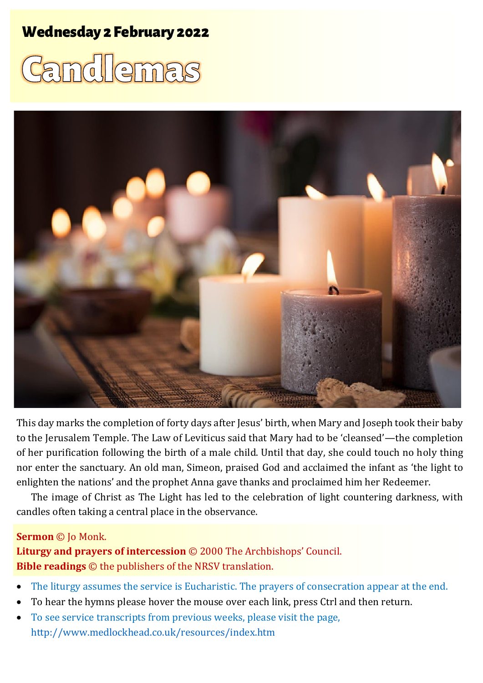## **Wednesday 2 February 2022**

# Camdlemas



This day marks the completion of forty days after Jesus' birth, when Mary and Joseph took their baby to the Jerusalem Temple. The Law of Leviticus said that Mary had to be 'cleansed'—the completion of her purification following the birth of a male child. Until that day, she could touch no holy thing nor enter the sanctuary. An old man, Simeon, praised God and acclaimed the infant as 'the light to enlighten the nations' and the prophet Anna gave thanks and proclaimed him her Redeemer.

The image of Christ as The Light has led to the celebration of light countering darkness, with candles often taking a central place in the observance.

#### **Sermon** © Jo Monk.

**Liturgy and prayers of intercession** © 2000 The Archbishops' Council. **Bible readings** © the publishers of the NRSV translation.

- The liturgy assumes the service is Eucharistic. The prayers of consecration appear at the end.
- To hear the hymns please hover the mouse over each link, press Ctrl and then return.
- To see service transcripts from previous weeks, please visit the page, <http://www.medlockhead.co.uk/resources/index.htm>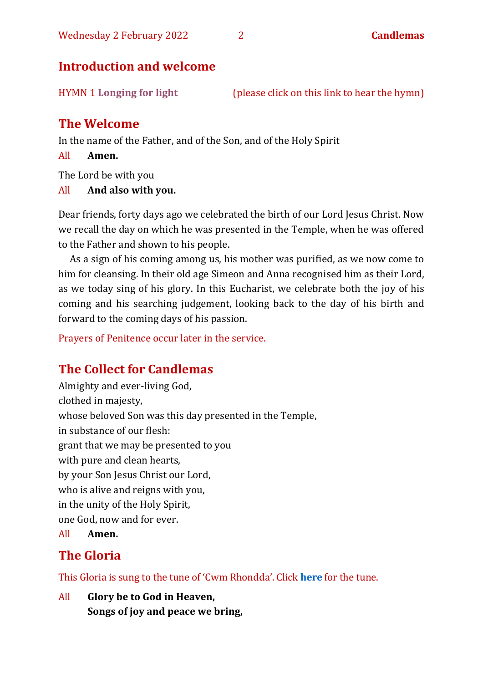#### **Introduction and welcome**

HYMN 1 **[Longing for light](https://youtu.be/ZJq3bhdgQoc)** (please click on this link to hear the hymn)

#### **The Welcome**

In the name of the Father, and of the Son, and of the Holy Spirit

All **Amen.**

The Lord be with you

#### All **And also with you.**

Dear friends, forty days ago we celebrated the birth of our Lord Jesus Christ. Now we recall the day on which he was presented in the Temple, when he was offered to the Father and shown to his people.

As a sign of his coming among us, his mother was purified, as we now come to him for cleansing. In their old age Simeon and Anna recognised him as their Lord, as we today sing of his glory. In this Eucharist, we celebrate both the joy of his coming and his searching judgement, looking back to the day of his birth and forward to the coming days of his passion.

Prayers of Penitence occur later in the service.

#### **The Collect for Candlemas**

Almighty and ever-living God, clothed in majesty, whose beloved Son was this day presented in the Temple, in substance of our flesh: grant that we may be presented to you with pure and clean hearts, by your Son Jesus Christ our Lord, who is alive and reigns with you, in the unity of the Holy Spirit, one God, now and for ever.

All **Amen.**

#### **The Gloria**

This Gloria is sung to the tune of 'Cwm Rhondda'. Click **[here](about:blank)** for the tune.

All **Glory be to God in Heaven, Songs of joy and peace we bring,**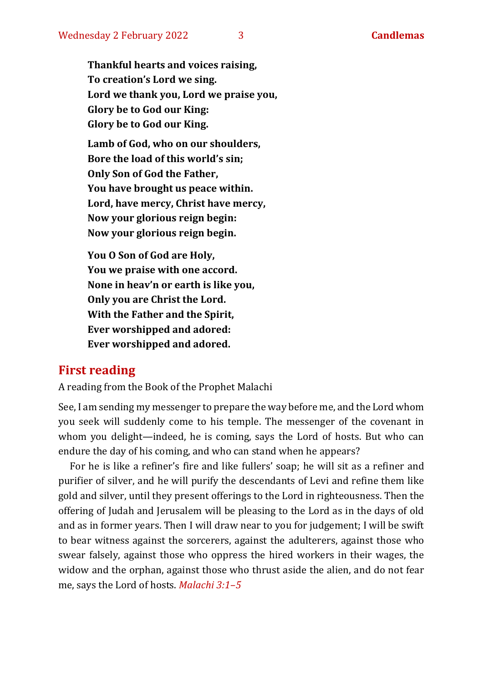**Thankful hearts and voices raising, To creation's Lord we sing. Lord we thank you, Lord we praise you, Glory be to God our King: Glory be to God our King.**

**Lamb of God, who on our shoulders, Bore the load of this world's sin; Only Son of God the Father, You have brought us peace within. Lord, have mercy, Christ have mercy, Now your glorious reign begin: Now your glorious reign begin.**

**You O Son of God are Holy, You we praise with one accord. None in heav'n or earth is like you, Only you are Christ the Lord. With the Father and the Spirit, Ever worshipped and adored: Ever worshipped and adored.**

#### **First reading**

A reading from the Book of the Prophet Malachi

See, I am sending my messenger to prepare the way before me, and the Lord whom you seek will suddenly come to his temple. The messenger of the covenant in whom you delight—indeed, he is coming, says the Lord of hosts. But who can endure the day of his coming, and who can stand when he appears?

For he is like a refiner's fire and like fullers' soap; he will sit as a refiner and purifier of silver, and he will purify the descendants of Levi and refine them like gold and silver, until they present offerings to the Lord in righteousness. Then the offering of Judah and Jerusalem will be pleasing to the Lord as in the days of old and as in former years. Then I will draw near to you for judgement; I will be swift to bear witness against the sorcerers, against the adulterers, against those who swear falsely, against those who oppress the hired workers in their wages, the widow and the orphan, against those who thrust aside the alien, and do not fear me, says the Lord of hosts. *Malachi 3:1–5*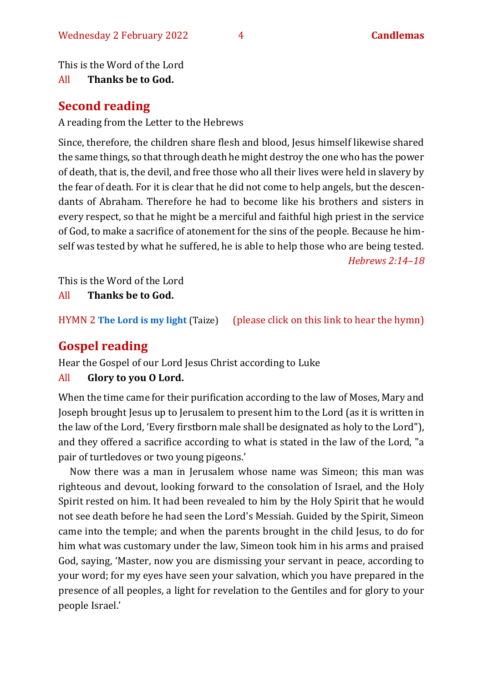This is the Word of the Lord

All **Thanks be to God.**

#### **Second reading**

A reading from the Letter to the Hebrews

Since, therefore, the children share flesh and blood, Jesus himself likewise shared the same things, so that through death he might destroy the one who has the power of death, that is, the devil, and free those who all their lives were held in slavery by the fear of death. For it is clear that he did not come to help angels, but the descendants of Abraham. Therefore he had to become like his brothers and sisters in every respect, so that he might be a merciful and faithful high priest in the service of God, to make a sacrifice of atonement for the sins of the people. Because he himself was tested by what he suffered, he is able to help those who are being tested. *Hebrews 2:14–18*

This is the Word of the Lord

All **Thanks be to God.**

HYMN 2 **[The Lord is my light](https://www.youtube.com/watch?v=r64gcGMNhDE)** (Taize) (please click on this link to hear the hymn)

## **Gospel reading**

Hear the Gospel of our Lord Jesus Christ according to Luke

#### All **Glory to you O Lord.**

When the time came for their purification according to the law of Moses, Mary and Joseph brought Jesus up to Jerusalem to present him to the Lord (as it is written in the law of the Lord, 'Every firstborn male shall be designated as holy to the Lord"), and they offered a sacrifice according to what is stated in the law of the Lord, "a pair of turtledoves or two young pigeons.'

Now there was a man in Jerusalem whose name was Simeon; this man was righteous and devout, looking forward to the consolation of Israel, and the Holy Spirit rested on him. It had been revealed to him by the Holy Spirit that he would not see death before he had seen the Lord's Messiah. Guided by the Spirit, Simeon came into the temple; and when the parents brought in the child Jesus, to do for him what was customary under the law, Simeon took him in his arms and praised God, saying, 'Master, now you are dismissing your servant in peace, according to your word; for my eyes have seen your salvation, which you have prepared in the presence of all peoples, a light for revelation to the Gentiles and for glory to your people Israel.'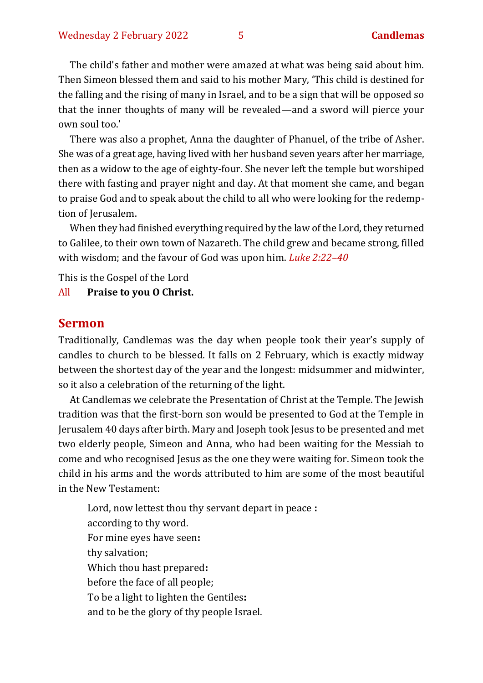The child's father and mother were amazed at what was being said about him. Then Simeon blessed them and said to his mother Mary, 'This child is destined for the falling and the rising of many in Israel, and to be a sign that will be opposed so that the inner thoughts of many will be revealed—and a sword will pierce your own soul too.'

There was also a prophet, Anna the daughter of Phanuel, of the tribe of Asher. She was of a great age, having lived with her husband seven years after her marriage, then as a widow to the age of eighty-four. She never left the temple but worshiped there with fasting and prayer night and day. At that moment she came, and began to praise God and to speak about the child to all who were looking for the redemption of Jerusalem.

When they had finished everything required by the law of the Lord, they returned to Galilee, to their own town of Nazareth. The child grew and became strong, filled with wisdom; and the favour of God was upon him. *Luke 2:22–40*

This is the Gospel of the Lord

All **Praise to you O Christ.** 

#### **Sermon**

Traditionally, Candlemas was the day when people took their year's supply of candles to church to be blessed. It falls on 2 February, which is exactly midway between the shortest day of the year and the longest: midsummer and midwinter, so it also a celebration of the returning of the light.

At Candlemas we celebrate the Presentation of Christ at the Temple. The Jewish tradition was that the first-born son would be presented to God at the Temple in Jerusalem 40 days after birth. Mary and Joseph took Jesus to be presented and met two elderly people, Simeon and Anna, who had been waiting for the Messiah to come and who recognised Jesus as the one they were waiting for. Simeon took the child in his arms and the words attributed to him are some of the most beautiful in the New Testament:

Lord, now lettest thou thy servant depart in peace **:** according to thy word. For mine eyes have seen**:** thy salvation; Which thou hast prepared**:** before the face of all people; To be a light to lighten the Gentiles**:** and to be the glory of thy people Israel.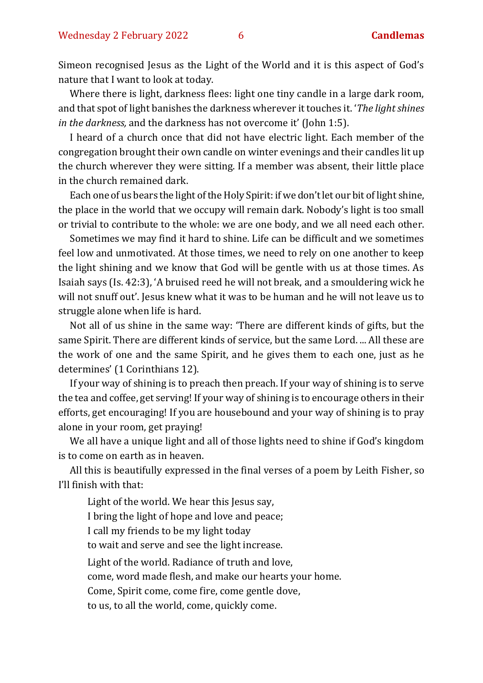Simeon recognised Jesus as the Light of the World and it is this aspect of God's nature that I want to look at today.

Where there is light, darkness flees: light one tiny candle in a large dark room, and that spot of light banishes the darkness wherever it touches it. '*The light shines in the darkness,* and the darkness has not overcome it' (John 1:5).

I heard of a church once that did not have electric light. Each member of the congregation brought their own candle on winter evenings and their candles lit up the church wherever they were sitting. If a member was absent, their little place in the church remained dark.

Each one of us bears the light of the Holy Spirit: if we don't let our bit of light shine, the place in the world that we occupy will remain dark. Nobody's light is too small or trivial to contribute to the whole: we are one body, and we all need each other.

Sometimes we may find it hard to shine. Life can be difficult and we sometimes feel low and unmotivated. At those times, we need to rely on one another to keep the light shining and we know that God will be gentle with us at those times. As Isaiah says (Is. 42:3), 'A bruised reed he will not break, and a smouldering wick he will not snuff out'. Jesus knew what it was to be human and he will not leave us to struggle alone when life is hard.

Not all of us shine in the same way: 'There are different kinds of gifts, but the same Spirit. There are different kinds of service, but the same Lord. ... All these are the work of one and the same Spirit, and he gives them to each one, just as he determines' (1 Corinthians 12).

If your way of shining is to preach then preach. If your way of shining is to serve the tea and coffee, get serving! If your way of shining is to encourage others in their efforts, get encouraging! If you are housebound and your way of shining is to pray alone in your room, get praying!

We all have a unique light and all of those lights need to shine if God's kingdom is to come on earth as in heaven.

All this is beautifully expressed in the final verses of a poem by Leith Fisher, so I'll finish with that:

Light of the world. We hear this Jesus say, I bring the light of hope and love and peace; I call my friends to be my light today to wait and serve and see the light increase. Light of the world. Radiance of truth and love, come, word made flesh, and make our hearts your home. Come, Spirit come, come fire, come gentle dove, to us, to all the world, come, quickly come.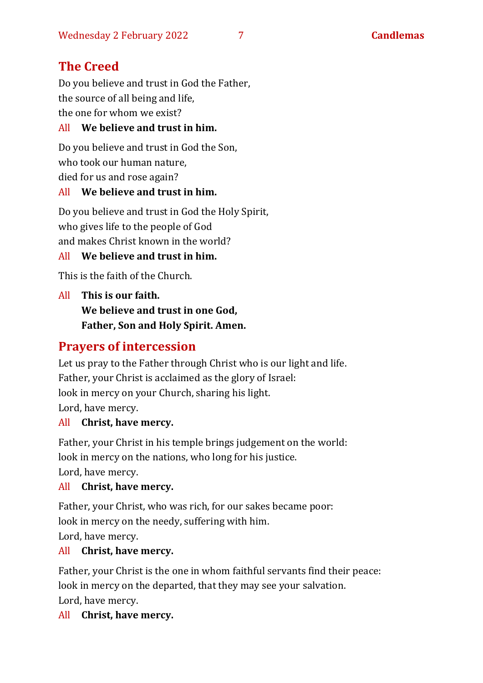## **The Creed**

Do you believe and trust in God the Father, the source of all being and life, the one for whom we exist?

#### All **We believe and trust in him.**

Do you believe and trust in God the Son, who took our human nature, died for us and rose again?

#### All **We believe and trust in him.**

Do you believe and trust in God the Holy Spirit, who gives life to the people of God and makes Christ known in the world?

#### All **We believe and trust in him.**

This is the faith of the Church.

All **This is our faith. We believe and trust in one God, Father, Son and Holy Spirit. Amen.**

## **Prayers of intercession**

Let us pray to the Father through Christ who is our light and life. Father, your Christ is acclaimed as the glory of Israel: look in mercy on your Church, sharing his light. Lord, have mercy.

#### All **Christ, have mercy.**

Father, your Christ in his temple brings judgement on the world: look in mercy on the nations, who long for his justice. Lord, have mercy.

#### All **Christ, have mercy.**

Father, your Christ, who was rich, for our sakes became poor: look in mercy on the needy, suffering with him. Lord, have mercy.

#### All **Christ, have mercy.**

Father, your Christ is the one in whom faithful servants find their peace: look in mercy on the departed, that they may see your salvation. Lord, have mercy.

#### All **Christ, have mercy.**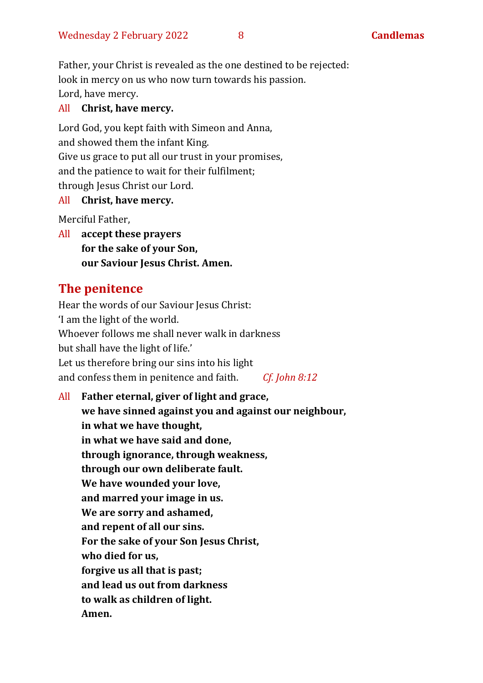Father, your Christ is revealed as the one destined to be rejected: look in mercy on us who now turn towards his passion. Lord, have mercy.

#### All **Christ, have mercy.**

Lord God, you kept faith with Simeon and Anna, and showed them the infant King. Give us grace to put all our trust in your promises, and the patience to wait for their fulfilment; through Jesus Christ our Lord.

All **Christ, have mercy.**

Merciful Father,

All **accept these prayers for the sake of your Son, our Saviour Jesus Christ. Amen.**

## **The penitence**

Hear the words of our Saviour Jesus Christ: 'I am the light of the world. Whoever follows me shall never walk in darkness but shall have the light of life.' Let us therefore bring our sins into his light and confess them in penitence and faith. *Cf. John 8:12*

All **Father eternal, giver of light and grace, we have sinned against you and against our neighbour, in what we have thought, in what we have said and done, through ignorance, through weakness, through our own deliberate fault. We have wounded your love, and marred your image in us. We are sorry and ashamed, and repent of all our sins. For the sake of your Son Jesus Christ, who died for us, forgive us all that is past; and lead us out from darkness to walk as children of light. Amen.**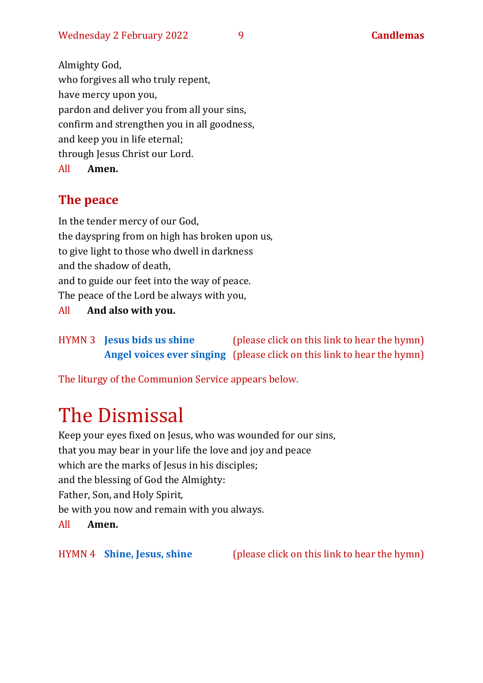Almighty God, who forgives all who truly repent, have mercy upon you, pardon and deliver you from all your sins, confirm and strengthen you in all goodness, and keep you in life eternal; through Jesus Christ our Lord. All **Amen.**

## **The peace**

In the tender mercy of our God, the dayspring from on high has broken upon us, to give light to those who dwell in darkness and the shadow of death, and to guide our feet into the way of peace. The peace of the Lord be always with you,

All **And also with you.**

HYMN 3 **Jesus [bids us shine](https://www.youtube.com/watch?v=DJwsRCBTd0g)** (please click on this link to hear the hymn) **[Angel voices ever singing](https://www.youtube.com/watch?v=nig-VqlyGzA)** (please click on this link to hear the hymn)

The liturgy of the Communion Service appears below.

## The Dismissal

Keep your eyes fixed on Jesus, who was wounded for our sins, that you may bear in your life the love and joy and peace which are the marks of Jesus in his disciples; and the blessing of God the Almighty: Father, Son, and Holy Spirit, be with you now and remain with you always. All **Amen.**

HYMN 4 **[Shine, Jesus, shine](https://youtu.be/7OIwSQmyCg4)** (please click on this link to hear the hymn)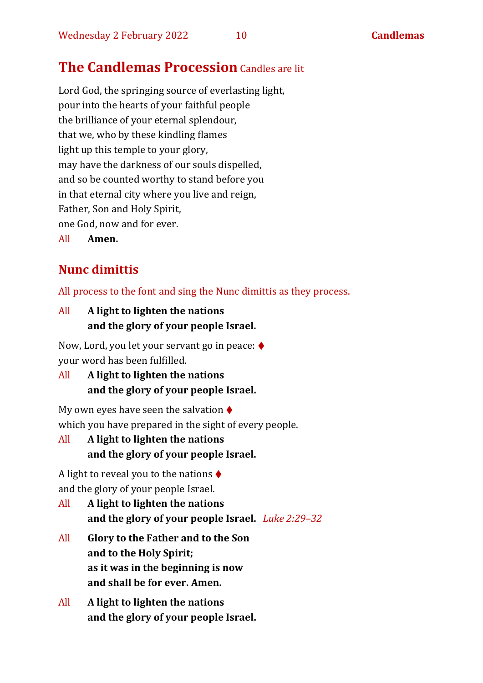## **The Candlemas Procession** Candles are lit

Lord God, the springing source of everlasting light, pour into the hearts of your faithful people the brilliance of your eternal splendour, that we, who by these kindling flames light up this temple to your glory, may have the darkness of our souls dispelled, and so be counted worthy to stand before you in that eternal city where you live and reign, Father, Son and Holy Spirit, one God, now and for ever.

All **Amen.**

## **Nunc dimittis**

All process to the font and sing the Nunc dimittis as they process.

All **A light to lighten the nations and the glory of your people Israel.**

Now, Lord, you let your servant go in peace: ♦ your word has been fulfilled.

All **A light to lighten the nations and the glory of your people Israel.**

My own eyes have seen the salvation  $\blacklozenge$ which you have prepared in the sight of every people.

All **A light to lighten the nations and the glory of your people Israel.**

A light to reveal you to the nations  $\triangle$ and the glory of your people Israel.

- All **A light to lighten the nations and the glory of your people Israel.** *Luke 2:29–32*
- All **Glory to the Father and to the Son and to the Holy Spirit; as it was in the beginning is now and shall be for ever. Amen.**
- All **A light to lighten the nations and the glory of your people Israel.**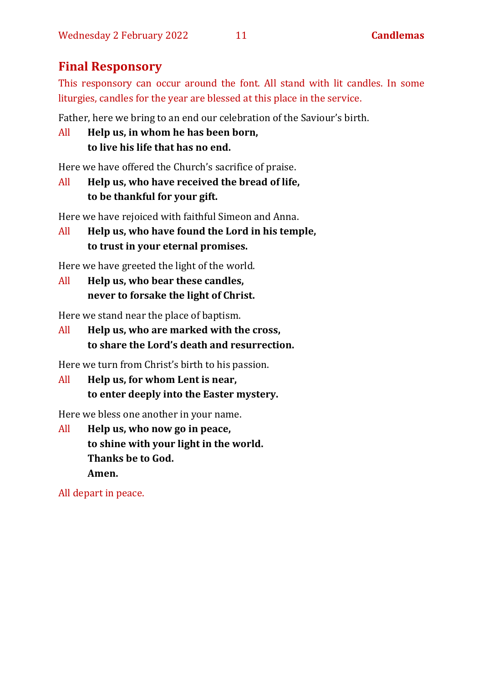### **Final Responsory**

This responsory can occur around the font. All stand with lit candles. In some liturgies, candles for the year are blessed at this place in the service.

Father, here we bring to an end our celebration of the Saviour's birth.

```
All Help us, in whom he has been born,
 to live his life that has no end.
```
Here we have offered the Church's sacrifice of praise.

```
All Help us, who have received the bread of life,
 to be thankful for your gift.
```
Here we have rejoiced with faithful Simeon and Anna.

```
All Help us, who have found the Lord in his temple,
to trust in your eternal promises.
```
Here we have greeted the light of the world.

All **Help us, who bear these candles, never to forsake the light of Christ.**

Here we stand near the place of baptism.

All **Help us, who are marked with the cross, to share the Lord's death and resurrection.**

Here we turn from Christ's birth to his passion.

All **Help us, for whom Lent is near, to enter deeply into the Easter mystery.**

Here we bless one another in your name.

All **Help us, who now go in peace, to shine with your light in the world. Thanks be to God. Amen.**

All depart in peace.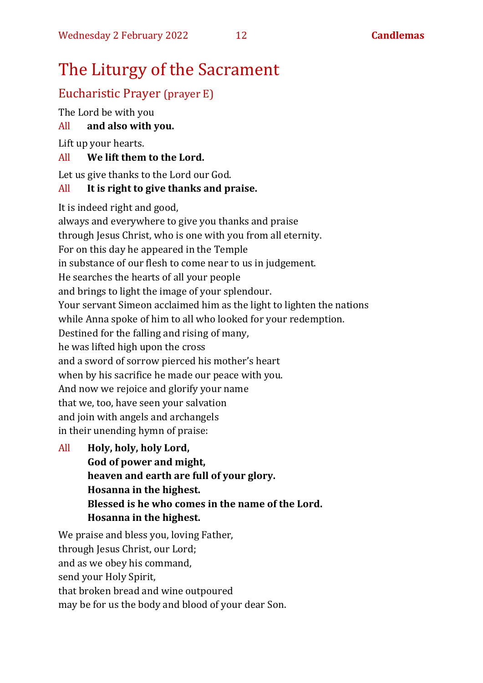## The Liturgy of the Sacrament

#### Eucharistic Prayer (prayer E)

The Lord be with you

All **and also with you.**

Lift up your hearts.

#### All **We lift them to the Lord.**

Let us give thanks to the Lord our God.

#### All **It is right to give thanks and praise.**

It is indeed right and good,

always and everywhere to give you thanks and praise through Jesus Christ, who is one with you from all eternity. For on this day he appeared in the Temple in substance of our flesh to come near to us in judgement. He searches the hearts of all your people and brings to light the image of your splendour. Your servant Simeon acclaimed him as the light to lighten the nations while Anna spoke of him to all who looked for your redemption. Destined for the falling and rising of many, he was lifted high upon the cross and a sword of sorrow pierced his mother's heart when by his sacrifice he made our peace with you. And now we rejoice and glorify your name that we, too, have seen your salvation and join with angels and archangels in their unending hymn of praise:

All **Holy, holy, holy Lord, God of power and might, heaven and earth are full of your glory. Hosanna in the highest. Blessed is he who comes in the name of the Lord. Hosanna in the highest.**

We praise and bless you, loving Father, through Jesus Christ, our Lord; and as we obey his command, send your Holy Spirit, that broken bread and wine outpoured may be for us the body and blood of your dear Son.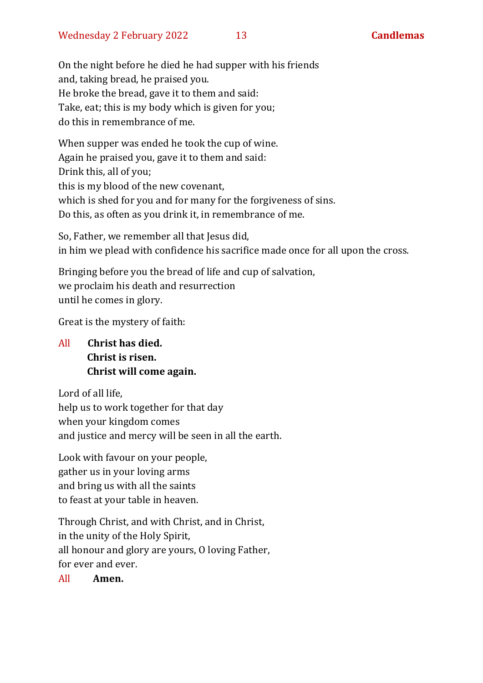On the night before he died he had supper with his friends and, taking bread, he praised you. He broke the bread, gave it to them and said: Take, eat; this is my body which is given for you; do this in remembrance of me.

When supper was ended he took the cup of wine. Again he praised you, gave it to them and said: Drink this, all of you; this is my blood of the new covenant, which is shed for you and for many for the forgiveness of sins. Do this, as often as you drink it, in remembrance of me.

So, Father, we remember all that Jesus did, in him we plead with confidence his sacrifice made once for all upon the cross.

Bringing before you the bread of life and cup of salvation, we proclaim his death and resurrection until he comes in glory.

Great is the mystery of faith:

All **Christ has died. Christ is risen. Christ will come again.**

Lord of all life, help us to work together for that day when your kingdom comes and justice and mercy will be seen in all the earth.

Look with favour on your people, gather us in your loving arms and bring us with all the saints to feast at your table in heaven.

Through Christ, and with Christ, and in Christ, in the unity of the Holy Spirit, all honour and glory are yours, O loving Father, for ever and ever.

#### All **Amen.**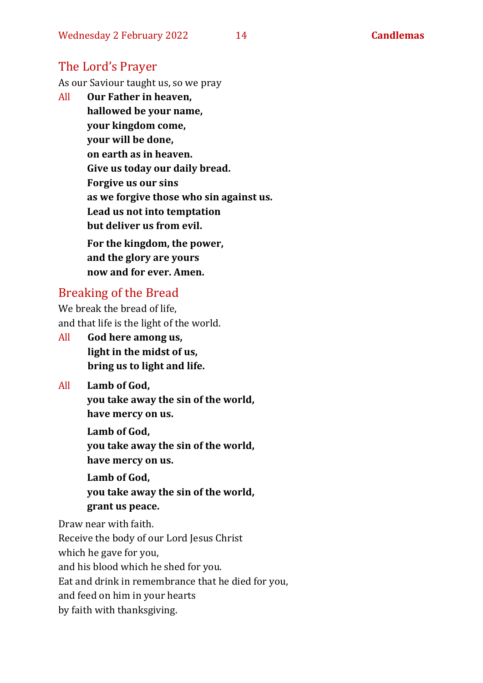#### The Lord's Prayer

As our Saviour taught us, so we pray

All **Our Father in heaven, hallowed be your name, your kingdom come, your will be done, on earth as in heaven. Give us today our daily bread. Forgive us our sins as we forgive those who sin against us. Lead us not into temptation but deliver us from evil. For the kingdom, the power, and the glory are yours now and for ever. Amen.**

#### Breaking of the Bread

We break the bread of life, and that life is the light of the world.

All **God here among us, light in the midst of us, bring us to light and life.**

All **Lamb of God, you take away the sin of the world, have mercy on us.**

> **Lamb of God, you take away the sin of the world, have mercy on us.**

**Lamb of God, you take away the sin of the world, grant us peace.**

Draw near with faith.

Receive the body of our Lord Jesus Christ which he gave for you,

and his blood which he shed for you.

Eat and drink in remembrance that he died for you,

and feed on him in your hearts

by faith with thanksgiving.